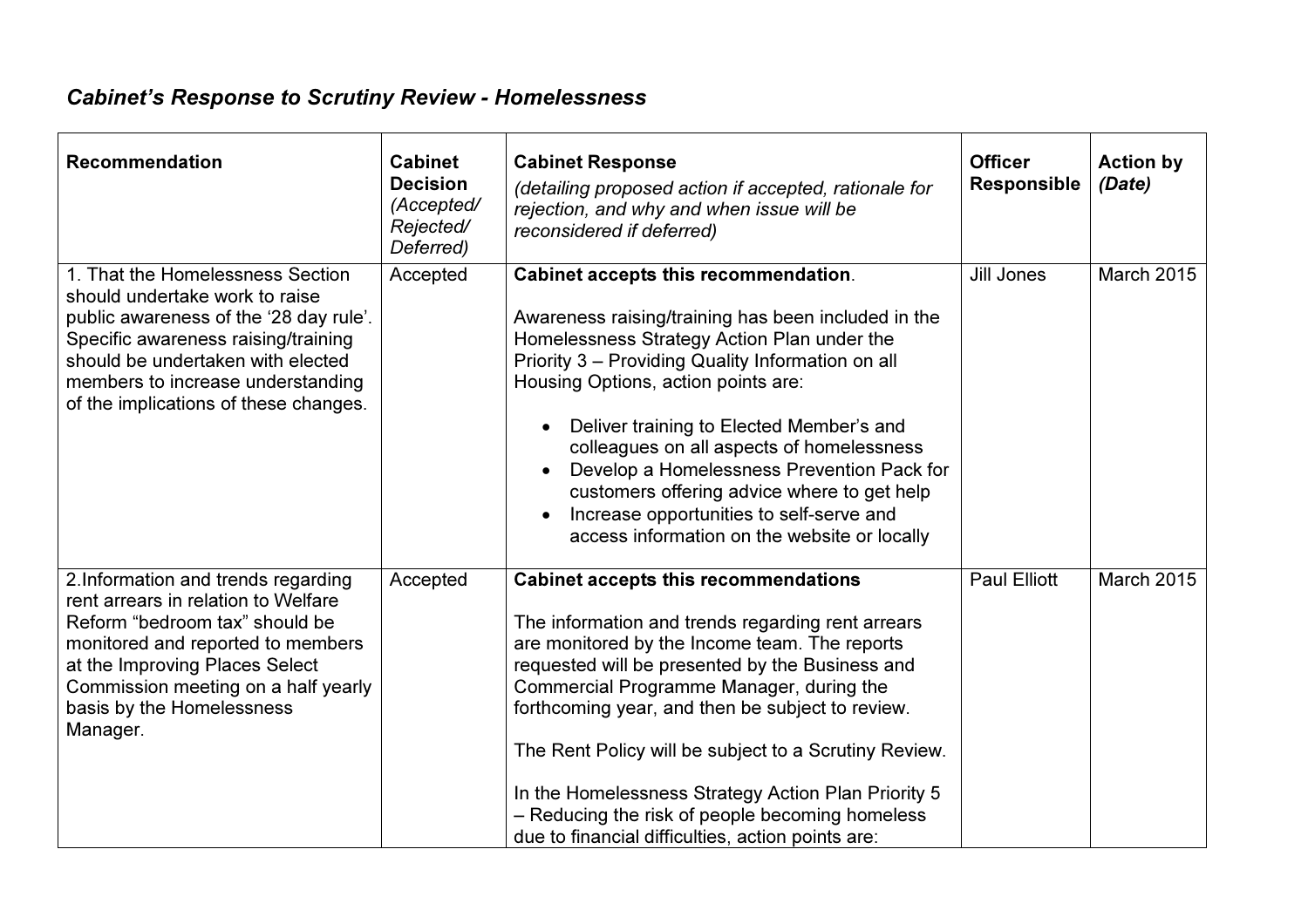## Cabinet's Response to Scrutiny Review - Homelessness

| <b>Recommendation</b>                                                                                                                                                                                                                                                  | <b>Cabinet</b><br><b>Decision</b><br>(Accepted/<br>Rejected/<br>Deferred) | <b>Cabinet Response</b><br>(detailing proposed action if accepted, rationale for<br>rejection, and why and when issue will be<br>reconsidered if deferred)                                                                                                                                                                                                                                                                                                                                                                   | <b>Officer</b><br><b>Responsible</b> | <b>Action by</b><br>(Date) |
|------------------------------------------------------------------------------------------------------------------------------------------------------------------------------------------------------------------------------------------------------------------------|---------------------------------------------------------------------------|------------------------------------------------------------------------------------------------------------------------------------------------------------------------------------------------------------------------------------------------------------------------------------------------------------------------------------------------------------------------------------------------------------------------------------------------------------------------------------------------------------------------------|--------------------------------------|----------------------------|
| 1. That the Homelessness Section<br>should undertake work to raise<br>public awareness of the '28 day rule'.<br>Specific awareness raising/training<br>should be undertaken with elected<br>members to increase understanding<br>of the implications of these changes. | Accepted                                                                  | Cabinet accepts this recommendation.<br>Awareness raising/training has been included in the<br>Homelessness Strategy Action Plan under the<br>Priority 3 - Providing Quality Information on all<br>Housing Options, action points are:<br>Deliver training to Elected Member's and<br>colleagues on all aspects of homelessness<br>Develop a Homelessness Prevention Pack for<br>customers offering advice where to get help<br>Increase opportunities to self-serve and<br>access information on the website or locally     | <b>Jill Jones</b>                    | <b>March 2015</b>          |
| 2. Information and trends regarding<br>rent arrears in relation to Welfare<br>Reform "bedroom tax" should be<br>monitored and reported to members<br>at the Improving Places Select<br>Commission meeting on a half yearly<br>basis by the Homelessness<br>Manager.    | Accepted                                                                  | <b>Cabinet accepts this recommendations</b><br>The information and trends regarding rent arrears<br>are monitored by the Income team. The reports<br>requested will be presented by the Business and<br>Commercial Programme Manager, during the<br>forthcoming year, and then be subject to review.<br>The Rent Policy will be subject to a Scrutiny Review.<br>In the Homelessness Strategy Action Plan Priority 5<br>- Reducing the risk of people becoming homeless<br>due to financial difficulties, action points are: | <b>Paul Elliott</b>                  | <b>March 2015</b>          |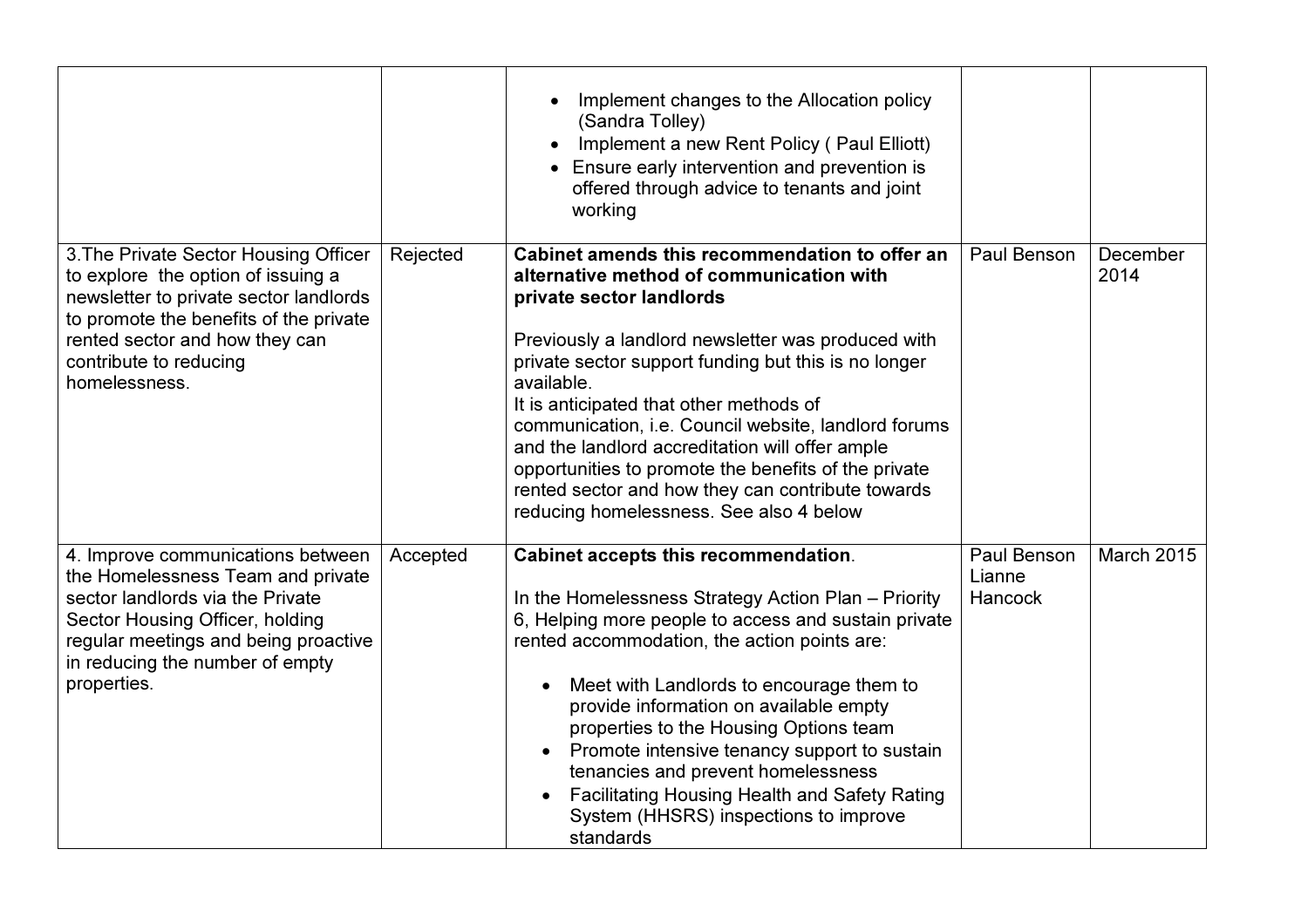|                                                                                                                                                                                                                                              |          | Implement changes to the Allocation policy<br>(Sandra Tolley)<br>Implement a new Rent Policy (Paul Elliott)<br>Ensure early intervention and prevention is<br>$\bullet$<br>offered through advice to tenants and joint<br>working                                                                                                                                                                                                                                                                                                                                |                                  |                   |
|----------------------------------------------------------------------------------------------------------------------------------------------------------------------------------------------------------------------------------------------|----------|------------------------------------------------------------------------------------------------------------------------------------------------------------------------------------------------------------------------------------------------------------------------------------------------------------------------------------------------------------------------------------------------------------------------------------------------------------------------------------------------------------------------------------------------------------------|----------------------------------|-------------------|
| 3. The Private Sector Housing Officer<br>to explore the option of issuing a<br>newsletter to private sector landlords<br>to promote the benefits of the private<br>rented sector and how they can<br>contribute to reducing<br>homelessness. | Rejected | Cabinet amends this recommendation to offer an<br>alternative method of communication with<br>private sector landlords<br>Previously a landlord newsletter was produced with<br>private sector support funding but this is no longer<br>available.<br>It is anticipated that other methods of<br>communication, i.e. Council website, landlord forums<br>and the landlord accreditation will offer ample<br>opportunities to promote the benefits of the private<br>rented sector and how they can contribute towards<br>reducing homelessness. See also 4 below | Paul Benson                      | December<br>2014  |
| 4. Improve communications between<br>the Homelessness Team and private<br>sector landlords via the Private<br>Sector Housing Officer, holding<br>regular meetings and being proactive<br>in reducing the number of empty<br>properties.      | Accepted | Cabinet accepts this recommendation.<br>In the Homelessness Strategy Action Plan - Priority<br>6, Helping more people to access and sustain private<br>rented accommodation, the action points are:<br>Meet with Landlords to encourage them to<br>provide information on available empty<br>properties to the Housing Options team<br>Promote intensive tenancy support to sustain<br>tenancies and prevent homelessness<br><b>Facilitating Housing Health and Safety Rating</b><br>System (HHSRS) inspections to improve<br>standards                          | Paul Benson<br>Lianne<br>Hancock | <b>March 2015</b> |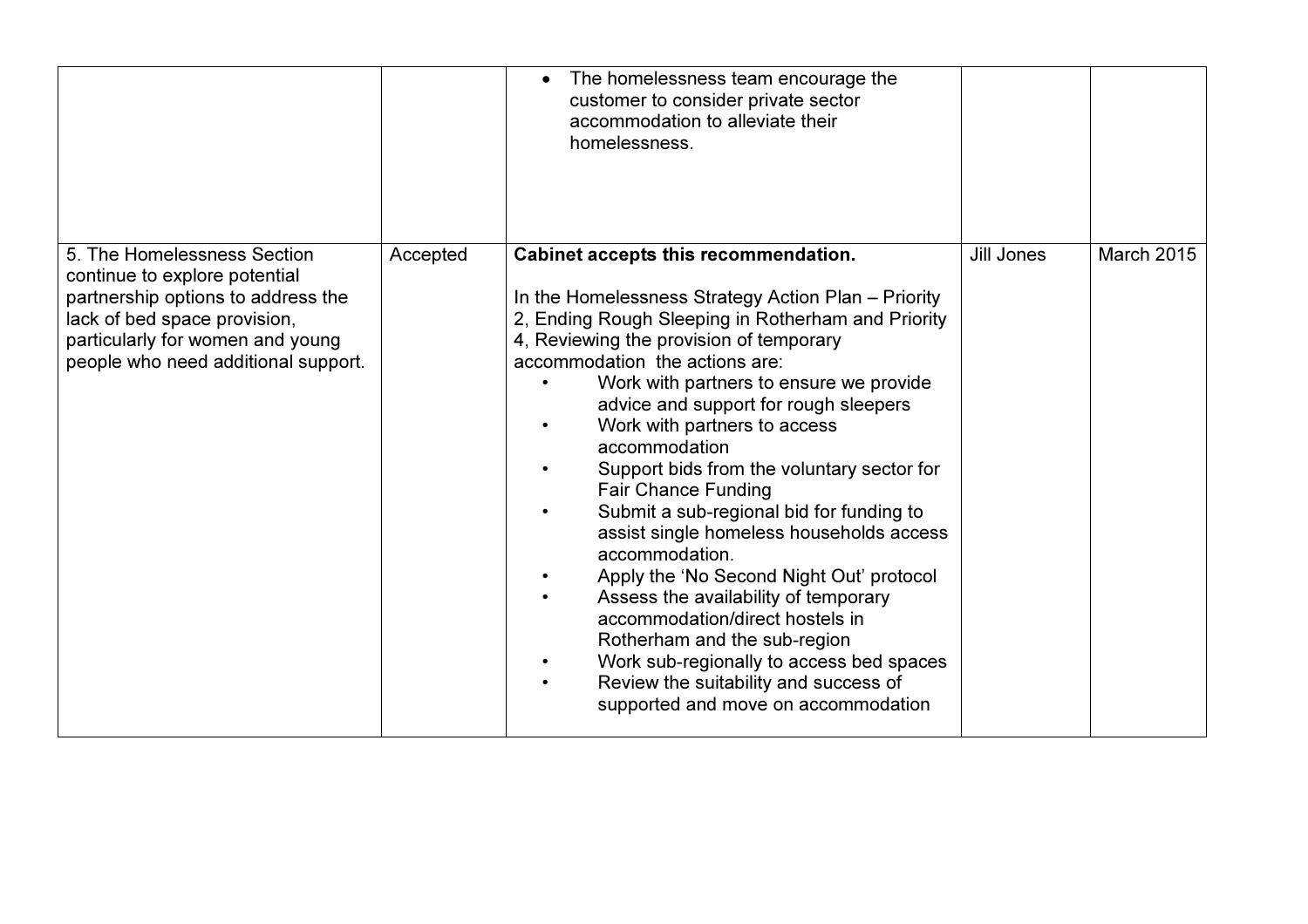|                                                                                                                                                                                                               |          | The homelessness team encourage the<br>customer to consider private sector<br>accommodation to alleviate their<br>homelessness.                                                                                                                                                                                                                                                                                                                                                                                                                                                                                                                                                                                                                                                                                                              |            |                   |
|---------------------------------------------------------------------------------------------------------------------------------------------------------------------------------------------------------------|----------|----------------------------------------------------------------------------------------------------------------------------------------------------------------------------------------------------------------------------------------------------------------------------------------------------------------------------------------------------------------------------------------------------------------------------------------------------------------------------------------------------------------------------------------------------------------------------------------------------------------------------------------------------------------------------------------------------------------------------------------------------------------------------------------------------------------------------------------------|------------|-------------------|
| 5. The Homelessness Section<br>continue to explore potential<br>partnership options to address the<br>lack of bed space provision,<br>particularly for women and young<br>people who need additional support. | Accepted | Cabinet accepts this recommendation.<br>In the Homelessness Strategy Action Plan - Priority<br>2, Ending Rough Sleeping in Rotherham and Priority<br>4, Reviewing the provision of temporary<br>accommodation the actions are:<br>Work with partners to ensure we provide<br>advice and support for rough sleepers<br>Work with partners to access<br>accommodation<br>Support bids from the voluntary sector for<br><b>Fair Chance Funding</b><br>Submit a sub-regional bid for funding to<br>assist single homeless households access<br>accommodation.<br>Apply the 'No Second Night Out' protocol<br>Assess the availability of temporary<br>accommodation/direct hostels in<br>Rotherham and the sub-region<br>Work sub-regionally to access bed spaces<br>Review the suitability and success of<br>supported and move on accommodation | Jill Jones | <b>March 2015</b> |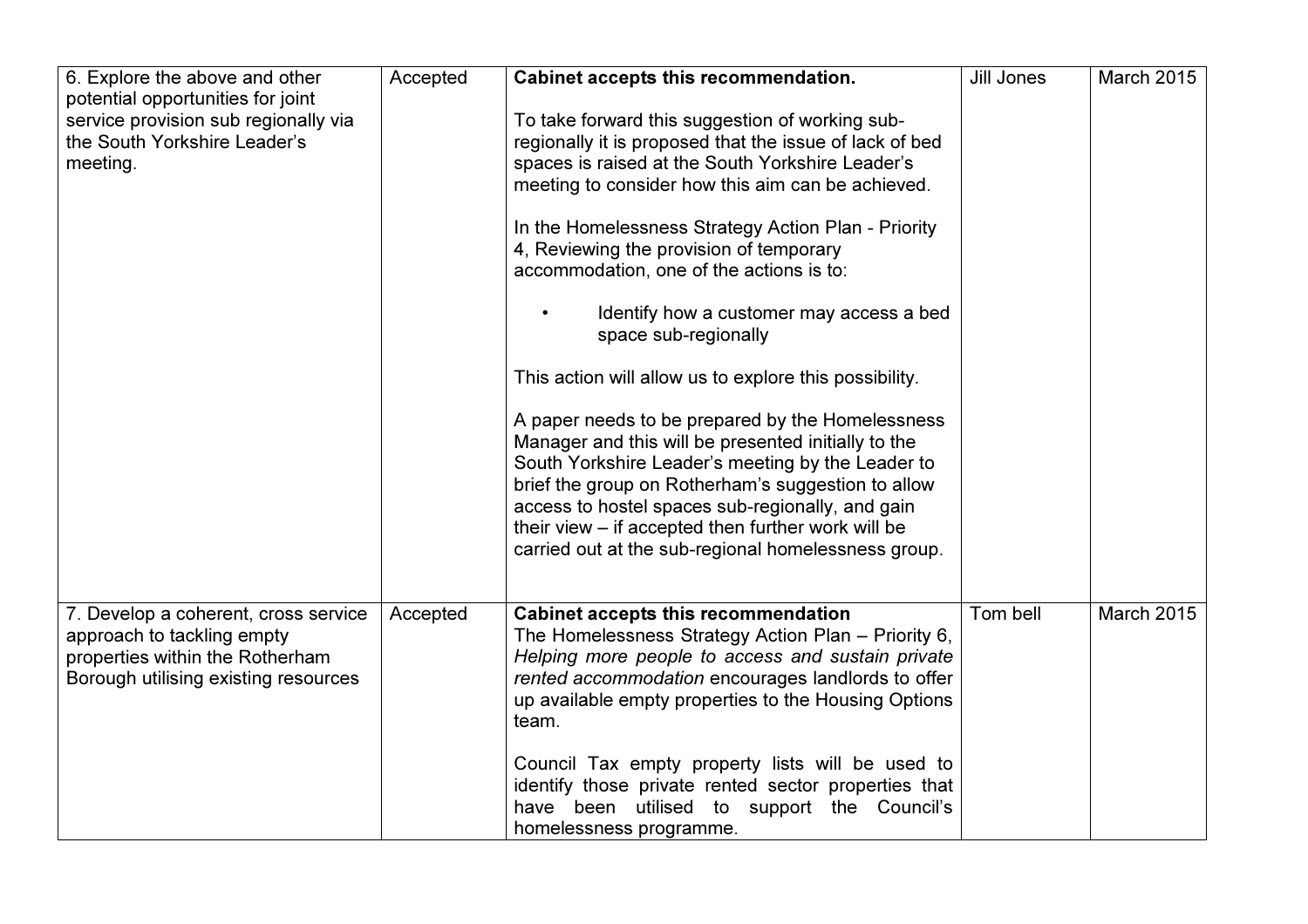| 6. Explore the above and other                                                                                                                | Accepted | Cabinet accepts this recommendation.                                                                                                                                                                                                                                                                                                                                                | <b>Jill Jones</b> | <b>March 2015</b> |
|-----------------------------------------------------------------------------------------------------------------------------------------------|----------|-------------------------------------------------------------------------------------------------------------------------------------------------------------------------------------------------------------------------------------------------------------------------------------------------------------------------------------------------------------------------------------|-------------------|-------------------|
| potential opportunities for joint                                                                                                             |          |                                                                                                                                                                                                                                                                                                                                                                                     |                   |                   |
| service provision sub regionally via                                                                                                          |          | To take forward this suggestion of working sub-                                                                                                                                                                                                                                                                                                                                     |                   |                   |
| the South Yorkshire Leader's                                                                                                                  |          | regionally it is proposed that the issue of lack of bed                                                                                                                                                                                                                                                                                                                             |                   |                   |
| meeting.                                                                                                                                      |          | spaces is raised at the South Yorkshire Leader's                                                                                                                                                                                                                                                                                                                                    |                   |                   |
|                                                                                                                                               |          | meeting to consider how this aim can be achieved.                                                                                                                                                                                                                                                                                                                                   |                   |                   |
|                                                                                                                                               |          | In the Homelessness Strategy Action Plan - Priority                                                                                                                                                                                                                                                                                                                                 |                   |                   |
|                                                                                                                                               |          | 4, Reviewing the provision of temporary                                                                                                                                                                                                                                                                                                                                             |                   |                   |
|                                                                                                                                               |          | accommodation, one of the actions is to:                                                                                                                                                                                                                                                                                                                                            |                   |                   |
|                                                                                                                                               |          | Identify how a customer may access a bed<br>space sub-regionally                                                                                                                                                                                                                                                                                                                    |                   |                   |
|                                                                                                                                               |          | This action will allow us to explore this possibility.                                                                                                                                                                                                                                                                                                                              |                   |                   |
|                                                                                                                                               |          | A paper needs to be prepared by the Homelessness<br>Manager and this will be presented initially to the<br>South Yorkshire Leader's meeting by the Leader to<br>brief the group on Rotherham's suggestion to allow<br>access to hostel spaces sub-regionally, and gain<br>their view – if accepted then further work will be<br>carried out at the sub-regional homelessness group. |                   |                   |
|                                                                                                                                               |          |                                                                                                                                                                                                                                                                                                                                                                                     | Tom bell          | <b>March 2015</b> |
| 7. Develop a coherent, cross service<br>approach to tackling empty<br>properties within the Rotherham<br>Borough utilising existing resources | Accepted | <b>Cabinet accepts this recommendation</b><br>The Homelessness Strategy Action Plan - Priority 6,<br>Helping more people to access and sustain private<br>rented accommodation encourages landlords to offer<br>up available empty properties to the Housing Options<br>team.                                                                                                       |                   |                   |
|                                                                                                                                               |          | Council Tax empty property lists will be used to<br>identify those private rented sector properties that<br>have been utilised to support the Council's<br>homelessness programme.                                                                                                                                                                                                  |                   |                   |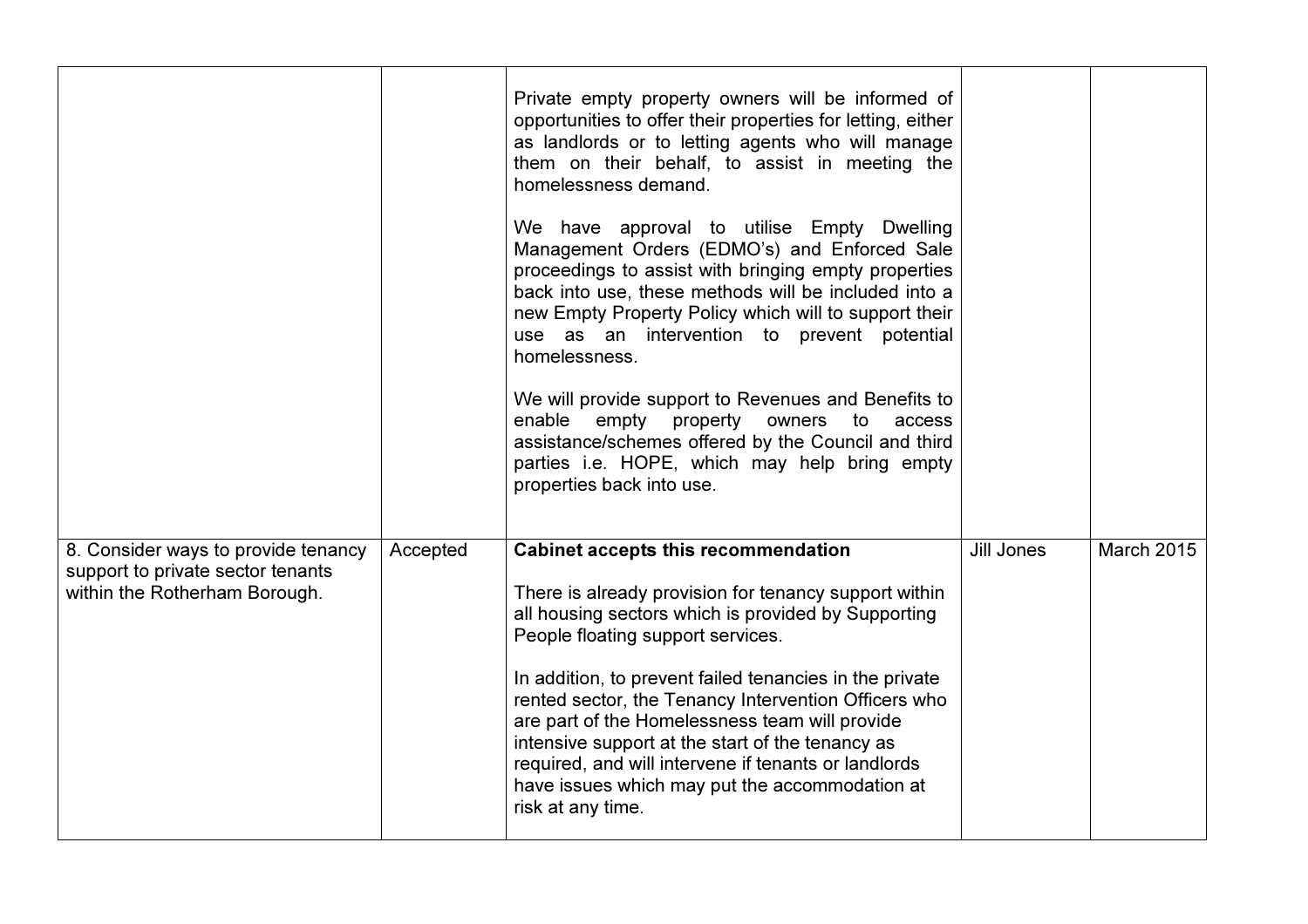|                                                                                                           |          | Private empty property owners will be informed of<br>opportunities to offer their properties for letting, either<br>as landlords or to letting agents who will manage<br>them on their behalf, to assist in meeting the<br>homelessness demand.<br>We have approval to utilise Empty Dwelling<br>Management Orders (EDMO's) and Enforced Sale<br>proceedings to assist with bringing empty properties<br>back into use, these methods will be included into a<br>new Empty Property Policy which will to support their<br>use as an intervention to prevent potential<br>homelessness.<br>We will provide support to Revenues and Benefits to<br>enable empty<br>property<br>owners<br>to<br>access<br>assistance/schemes offered by the Council and third<br>parties i.e. HOPE, which may help bring empty<br>properties back into use. |            |                   |
|-----------------------------------------------------------------------------------------------------------|----------|------------------------------------------------------------------------------------------------------------------------------------------------------------------------------------------------------------------------------------------------------------------------------------------------------------------------------------------------------------------------------------------------------------------------------------------------------------------------------------------------------------------------------------------------------------------------------------------------------------------------------------------------------------------------------------------------------------------------------------------------------------------------------------------------------------------------------------------|------------|-------------------|
| 8. Consider ways to provide tenancy<br>support to private sector tenants<br>within the Rotherham Borough. | Accepted | <b>Cabinet accepts this recommendation</b><br>There is already provision for tenancy support within<br>all housing sectors which is provided by Supporting<br>People floating support services.<br>In addition, to prevent failed tenancies in the private<br>rented sector, the Tenancy Intervention Officers who<br>are part of the Homelessness team will provide<br>intensive support at the start of the tenancy as<br>required, and will intervene if tenants or landlords<br>have issues which may put the accommodation at<br>risk at any time.                                                                                                                                                                                                                                                                                  | Jill Jones | <b>March 2015</b> |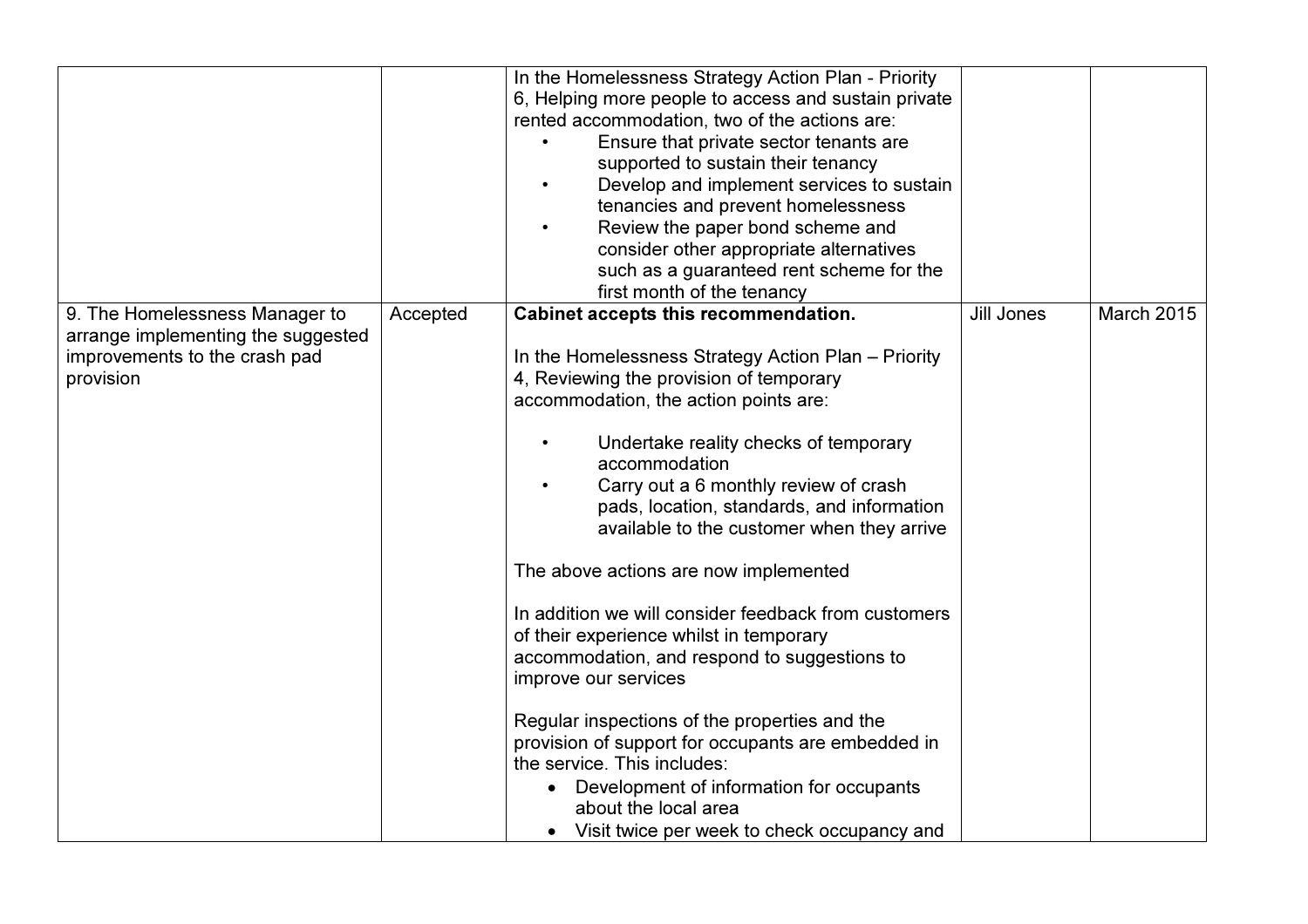|                                                                                                                    |          | In the Homelessness Strategy Action Plan - Priority<br>6, Helping more people to access and sustain private<br>rented accommodation, two of the actions are:<br>Ensure that private sector tenants are<br>supported to sustain their tenancy<br>Develop and implement services to sustain<br>tenancies and prevent homelessness<br>Review the paper bond scheme and<br>consider other appropriate alternatives<br>such as a guaranteed rent scheme for the<br>first month of the tenancy                                                                                                                                                                                                                                                                                                                                                                                   |                   |                   |
|--------------------------------------------------------------------------------------------------------------------|----------|----------------------------------------------------------------------------------------------------------------------------------------------------------------------------------------------------------------------------------------------------------------------------------------------------------------------------------------------------------------------------------------------------------------------------------------------------------------------------------------------------------------------------------------------------------------------------------------------------------------------------------------------------------------------------------------------------------------------------------------------------------------------------------------------------------------------------------------------------------------------------|-------------------|-------------------|
| 9. The Homelessness Manager to<br>arrange implementing the suggested<br>improvements to the crash pad<br>provision | Accepted | Cabinet accepts this recommendation.<br>In the Homelessness Strategy Action Plan - Priority<br>4, Reviewing the provision of temporary<br>accommodation, the action points are:<br>Undertake reality checks of temporary<br>accommodation<br>Carry out a 6 monthly review of crash<br>pads, location, standards, and information<br>available to the customer when they arrive<br>The above actions are now implemented<br>In addition we will consider feedback from customers<br>of their experience whilst in temporary<br>accommodation, and respond to suggestions to<br>improve our services<br>Regular inspections of the properties and the<br>provision of support for occupants are embedded in<br>the service. This includes:<br>Development of information for occupants<br>$\bullet$<br>about the local area<br>• Visit twice per week to check occupancy and | <b>Jill Jones</b> | <b>March 2015</b> |